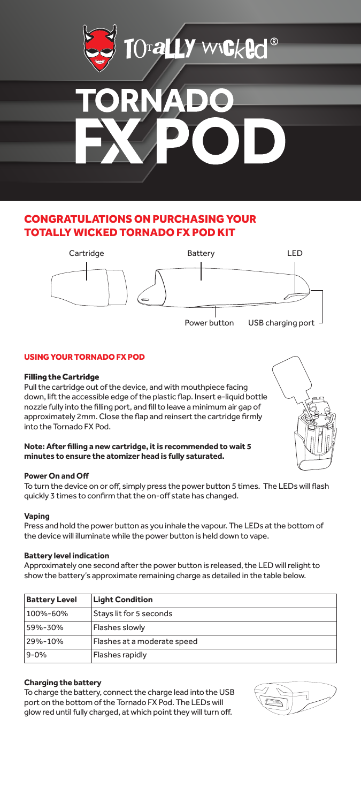

# CONGRATULATIONS ON PURCHASING YOUR TOTALLY WICKED TORNADO FX POD KIT



## USING YOUR TORNADO FX POD

## Filling the Cartridge

Pull the cartridge out of the device, and with mouthpiece facing down, lift the accessible edge of the plastic flap. Insert e-liquid bottle nozzle fully into the filling port, and fill to leave a minimum air gap of approximately 2mm. Close the flap and reinsert the cartridge firmly into the Tornado FX Pod.



## **Note: After filling a new cartridge, it is recommended to wait 5 minutes to ensure the atomizer head is fully saturated.**

#### **Power On and Off**

To turn the device on or off, simply press the power button 5 times. The LEDs will flash quickly 3 times to confirm that the on-off state has changed.

## **Vaping**

Press and hold the power button as you inhale the vapour. The LEDs at the bottom of the device will illuminate while the power button is held down to vape.

## **Battery level indication**

Approximately one second after the power button is released, the LED will relight to show the battery's approximate remaining charge as detailed in the table below.

| <b>Battery Level</b> | <b>Light Condition</b>      |
|----------------------|-----------------------------|
| 100%-60%             | Stays lit for 5 seconds     |
| 59%-30%              | Flashes slowly              |
| 29%-10%              | Flashes at a moderate speed |
| $9 - 0%$             | Flashes rapidly             |

## **Charging the battery**

To charge the battery, connect the charge lead into the USB port on the bottom of the Tornado FX Pod. The LEDs will glow red until fully charged, at which point they will turn off.